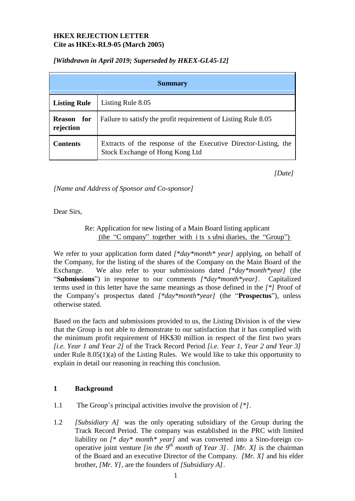## **HKEX REJECTION LETTER Cite as HKEx-RL9-05 (March 2005)**

## *[Withdrawn in April 2019; Superseded by HKEX-GL45-12]*

| <b>Summary</b>                 |                                                                                                    |  |  |  |
|--------------------------------|----------------------------------------------------------------------------------------------------|--|--|--|
| <b>Listing Rule</b>            | Listing Rule 8.05                                                                                  |  |  |  |
| <b>Reason</b> for<br>rejection | Failure to satisfy the profit requirement of Listing Rule 8.05                                     |  |  |  |
| Contents                       | Extracts of the response of the Executive Director-Listing, the<br>Stock Exchange of Hong Kong Ltd |  |  |  |

*[Date]*

*[Name and Address of Sponsor and Co-sponsor]*

Dear Sirs,

Re: Application for new listing of a Main Board listing applicant (the "C ompany" together with i ts s ubsi diaries, the "Group")

We refer to your application form dated *[\*day\*month\* year]* applying, on behalf of the Company, for the listing of the shares of the Company on the Main Board of the Exchange. We also refer to your submissions dated *[\*day\*month\*year]* (the "**Submissions**") in response to our comments *[\*day\*month\*year]*. Capitalized terms used in this letter have the same meanings as those defined in the *[\*]* Proof of the Company's prospectus dated *[\*day\*month\*year]* (the "**Prospectus**"), unless otherwise stated.

Based on the facts and submissions provided to us, the Listing Division is of the view that the Group is not able to demonstrate to our satisfaction that it has complied with the minimum profit requirement of HK\$30 million in respect of the first two years *[i.e. Year 1 and Year 2]* of the Track Record Period *[i.e. Year 1, Year 2 and Year 3]*  under Rule 8.05(1)(a) of the Listing Rules. We would like to take this opportunity to explain in detail our reasoning in reaching this conclusion.

# **1 Background**

- 1.1 The Group's principal activities involve the provision of *[\*].*
- 1.2 *[Subsidiary A]* was the only operating subsidiary of the Group during the Track Record Period. The company was established in the PRC with limited liability on *[\* day\* month\* year]* and was converted into a Sino-foreign cooperative joint venture *[in the*  $9<sup>th</sup>$  *month of Year* 3*]*. *[Mr. X]* is the chairman of the Board and an executive Director of the Company. *[Mr. X]* and his elder brother, *[Mr. Y]*, are the founders of *[Subsidiary A]*.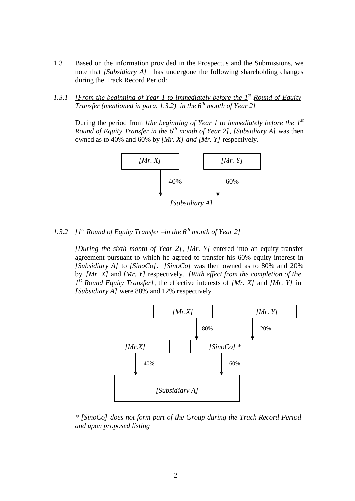- 1.3 Based on the information provided in the Prospectus and the Submissions, we note that *[Subsidiary A]* has undergone the following shareholding changes during the Track Record Period:
- *1.3.1 [From the beginning of Year 1 to immediately before the 1 st Round of Equity Transfer (mentioned in para. 1.3.2) in the 6 th month of Year 2]*

During the period from *[the beginning of Year 1 to immediately before the 1 st Round of Equity Transfer in the 6 th month of Year 2]*, *[Subsidiary A]* was then owned as to 40% and 60% by *[Mr. X] and [Mr. Y]* respectively.



## *1.3.2 [1st Round of Equity Transfer –in the 6 th month of Year 2]*

*[During the sixth month of Year 2]*, *[Mr. Y]* entered into an equity transfer agreement pursuant to which he agreed to transfer his 60% equity interest in *[Subsidiary A]* to *[SinoCo]*. *[SinoCo]* was then owned as to 80% and 20% by. *[Mr. X]* and *[Mr. Y]* respectively. *[With effect from the completion of the 1 st Round Equity Transfer]*, the effective interests of *[Mr. X]* and *[Mr. Y]* in *[Subsidiary A]* were 88% and 12% respectively.



*\* [SinoCo] does not form part of the Group during the Track Record Period and upon proposed listing*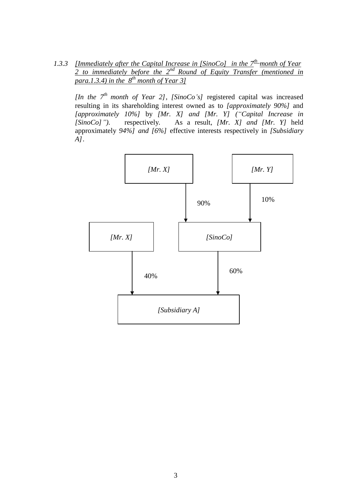*1.3.3 [Immediately after the Capital Increase in [SinoCo] in the 7 th month of Year 2 to immediately before the 2 nd Round of Equity Transfer (mentioned in para.1.3.4) in the 8th month of Year 3]*

*[In the 7th month of Year 2]*, *[SinoCo's]* registered capital was increased resulting in its shareholding interest owned as to *[approximately 90%]* and *[approximately 10%]* by *[Mr. X] and [Mr. Y] ("Capital Increase in [SinoCo]")*. respectively. As a result, *[Mr. X] and [Mr. Y]* held approximately *94%] and [6%]* effective interests respectively in *[Subsidiary A]*.

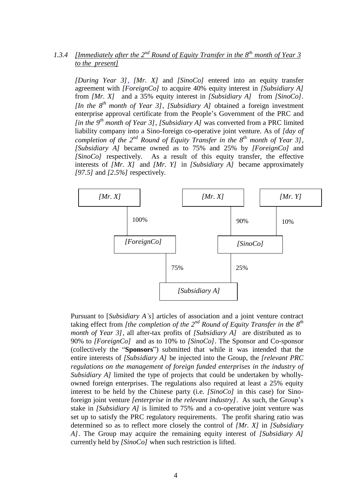## *A.3.4 [Immediately after the*  $2^{nd}$  *Round of Equity Transfer in the*  $8^{th}$  *month of Year 3 to the present]*

*[During Year 3]*, *[Mr. X]* and *[SinoCo]* entered into an equity transfer agreement with *[ForeignCo]* to acquire 40% equity interest in *[Subsidiary A]*  from *[Mr. X]* and a 35% equity interest in *[Subsidiary A]* from *[SinoCo]. [In the 8 th month of Year 3]*, *[Subsidiary A]* obtained a foreign investment enterprise approval certificate from the People's Government of the PRC and *[in the 9 th month of Year 3]*, *[Subsidiary A]* was converted from a PRC limited liability company into a Sino-foreign co-operative joint venture. As of *[day of completion of the 2 nd Round of Equity Transfer in the 8 th month of Year 3]*, *[Subsidiary A]* became owned as to 75% and 25% by *[ForeignCo]* and *[SinoCo]* respectively. As a result of this equity transfer, the effective interests of *[Mr. X]* and *[Mr. Y]* in *[Subsidiary A]* became approximately *[97.5]* and *[2.5%]* respectively.



Pursuant to [*Subsidiary A's*] articles of association and a joint venture contract taking effect from *[the completion of the 2<sup>nd</sup> Round of Equity Transfer in the 8<sup>th</sup> month of Year 3]*, all after-tax profits of *[Subsidiary A]* are distributed as to 90% to *[ForeignCo]* and as to 10% to *[SinoCo]*. The Sponsor and Co-sponsor (collectively the "**Sponsors**") submitted that while it was intended that the entire interests of *[Subsidiary A]* be injected into the Group, the *[relevant PRC regulations on the management of foreign funded enterprises in the industry of Subsidiary A]* limited the type of projects that could be undertaken by whollyowned foreign enterprises. The regulations also required at least a 25% equity interest to be held by the Chinese party (i.e. *[SinoCo]* in this case) for Sinoforeign joint venture *[enterprise in the relevant industry]*. As such, the Group's stake in *[Subsidiary A]* is limited to 75% and a co-operative joint venture was set up to satisfy the PRC regulatory requirements. The profit sharing ratio was determined so as to reflect more closely the control of *[Mr. X]* in *[Subsidiary A]*. The Group may acquire the remaining equity interest of *[Subsidiary A]*  currently held by *[SinoCo]* when such restriction is lifted.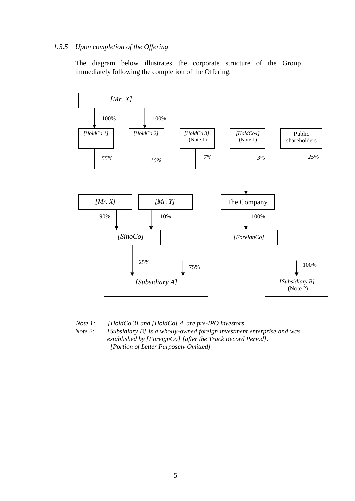### *1.3.5 Upon completion of the Offering*

The diagram below illustrates the corporate structure of the Group immediately following the completion of the Offering.



*Note 1: [HoldCo 3] and [HoldCo] 4 are pre-IPO investors Note 2: [Subsidiary B] is a wholly-owned foreign investment enterprise and was established by [ForeignCo] [after the Track Record Period]. [Portion of Letter Purposely Omitted]*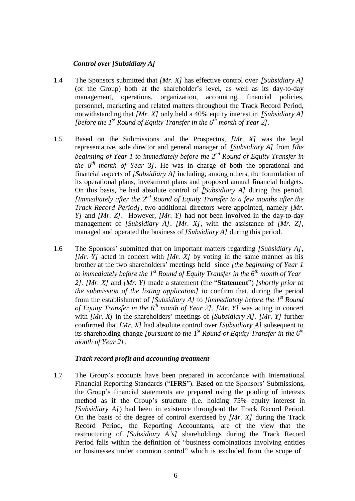#### *Control over [Subsidiary A]*

- 1.4 The Sponsors submitted that *[Mr. X]* has effective control over *[Subsidiary A]*  (or the Group) both at the shareholder's level, as well as its day-to-day management, operations, organization, accounting, financial policies, personnel, marketing and related matters throughout the Track Record Period, notwithstanding that *[Mr. X]* only held a 40% equity interest in *[Subsidiary A] [before the 1st Round of Equity Transfer in the 6 th month of Year 2].*
- 1.5 Based on the Submissions and the Prospectus, *[Mr. X]* was the legal representative, sole director and general manager of *[Subsidiary A]* from *[the beginning of Year 1 to immediately before the 2 nd Round of Equity Transfer in the*  $8^{th}$  *month of Year 3].* He was in charge of both the operational and financial aspects of *[Subsidiary A]* including, among others, the formulation of its operational plans, investment plans and proposed annual financial budgets. On this basis, he had absolute control of *[Subsidiary A]* during this period. *[Immediately after the*  $2^{nd}$  *Round of Equity Transfer to a few months after the Track Record Period],* two additional directors were appointed, namely *[Mr. Y]* and *[Mr. Z]*. However, *[Mr. Y]* had not been involved in the day-to-day management of *[Subsidiary A]*. *[Mr. X]*, with the assistance of *[Mr. Z]*, managed and operated the business of *[Subsidiary A]* during this period.
- 1.6 The Sponsors' submitted that on important matters regarding *[Subsidiary A]*, *[Mr. Y]* acted in concert with *[Mr. X]* by voting in the same manner as his brother at the two shareholders' meetings held since *[the beginning of Year 1 to immediately before the 1st Round of Equity Transfer in the 6 th month of Year 2]*. *[Mr. X]* and *[Mr. Y]* made a statement (the "**Statement**") *[shortly prior to the submission of the listing application]* to confirm that, during the period from the establishment of *[Subsidiary A]* to *[immediately before the 1 st Round of Equity Transfer in the 6 th month of Year 2]*, *[Mr. Y]* was acting in concert with *[Mr. X]* in the shareholders' meetings of *[Subsidiary A]*. *[Mr. Y]* further confirmed that *[Mr. X]* had absolute control over *[Subsidiary A]* subsequent to its shareholding change *[pursuant to the 1<sup>st</sup> Round of Equity Transfer in the*  $6^{th}$ *month of Year 2]*.

#### *Track record profit and accounting treatment*

1.7 The Group's accounts have been prepared in accordance with International Financial Reporting Standards ("**IFRS**"). Based on the Sponsors' Submissions, the Group's financial statements are prepared using the pooling of interests method as if the Group's structure (i.e. holding 75% equity interest in *[Subsidiary A]*) had been in existence throughout the Track Record Period. On the basis of the degree of control exercised by *[Mr. X]* during the Track Record Period, the Reporting Accountants, are of the view that the restructuring of *[Subsidiary A's]* shareholdings during the Track Record Period falls within the definition of "business combinations involving entities or businesses under common control" which is excluded from the scope of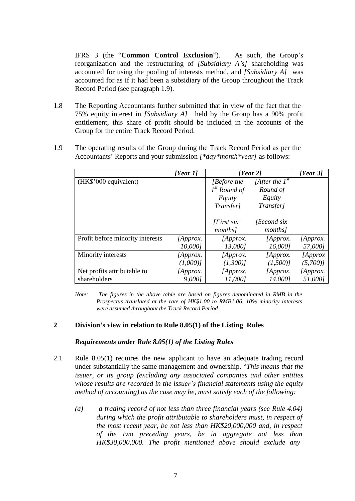IFRS 3 (the "**Common Control Exclusion**"). As such, the Group's reorganization and the restructuring of *[Subsidiary A's]* shareholding was accounted for using the pooling of interests method, and *[Subsidiary A]* was accounted for as if it had been a subsidiary of the Group throughout the Track Record Period (see paragraph 1.9).

- 1.8 The Reporting Accountants further submitted that in view of the fact that the 75% equity interest in *[Subsidiary A]* held by the Group has a 90% profit entitlement, this share of profit should be included in the accounts of the Group for the entire Track Record Period.
- 1.9 The operating results of the Group during the Track Record Period as per the Accountants' Reports and your submission *[\*day\*month\*year]* as follows:

|                                  | [Year 1] | [Year 2]          |                     | [Year 3] |
|----------------------------------|----------|-------------------|---------------------|----------|
| (HK\$'000 equivalent)            |          | <i>Before the</i> | [After the $1^{st}$ |          |
|                                  |          | $1st$ Round of    | Round of            |          |
|                                  |          | Equity            | Equity              |          |
|                                  |          | Transfer]         | Transfer]           |          |
|                                  |          |                   |                     |          |
|                                  |          | [First six]       | <i>Second six</i>   |          |
|                                  |          | months]           | months]             |          |
| Profit before minority interests | [Approx. | [Approx.          | [Approx.            | [Approx. |
|                                  | 10,0001  | 13,0001           | 16,0001             | 57,0001  |
| Minority interests               | [Approx. | [Approx.]         | [Approx.            | [Approx] |
|                                  | (1,000)  | $(1,300)$ ]       | (1,500)             | (5,700)  |
| Net profits attributable to      | [Approx. | [Approx.          | [Approx.            | [Approx. |
| shareholders                     | 9,0001   | 11,0001           | 14,0001             | 51,0001  |

*Note: The figures in the above table are based on figures denominated in RMB in the Prospectus translated at the rate of HK\$1.00 to RMB1.06. 10% minority interests were assumed throughout the Track Record Period.*

### **2 Division's view in relation to Rule 8.05(1) of the Listing Rules**

#### *Requirements under Rule 8.05(1) of the Listing Rules*

- 2.1 Rule 8.05(1) requires the new applicant to have an adequate trading record under substantially the same management and ownership. "*This means that the issuer, or its group (excluding any associated companies and other entities whose results are recorded in the issuer's financial statements using the equity method of accounting) as the case may be, must satisfy each of the following:*
	- *(a) a trading record of not less than three financial years (see Rule 4.04) during which the profit attributable to shareholders must, in respect of the most recent year, be not less than HK\$20,000,000 and, in respect of the two preceding years, be in aggregate not less than HK\$30,000,000. The profit mentioned above should exclude any*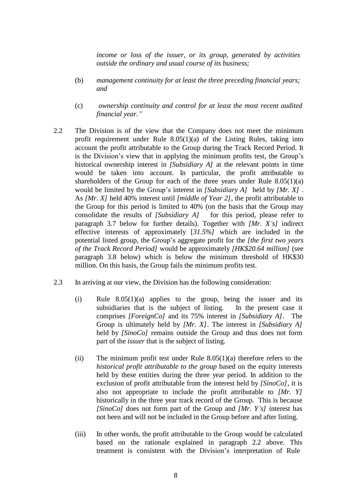*income or loss of the issuer, or its group, generated by activities outside the ordinary and usual course of its business;*

- (b) *management continuity for at least the three preceding financial years; and*
- (c) *ownership continuity and control for at least the most recent audited financial year."*
- 2.2 The Division is of the view that the Company does not meet the minimum profit requirement under Rule  $8.05(1)(a)$  of the Listing Rules, taking into account the profit attributable to the Group during the Track Record Period. It is the Division's view that in applying the minimum profits test, the Group's historical ownership interest in *[Subsidiary A]* at the relevant points in time would be taken into account. In particular, the profit attributable to shareholders of the Group for each of the three years under Rule  $8.05(1)(a)$ would be limited by the Group's interest in *[Subsidiary A]* held by *[Mr. X]* . As *[Mr. X]* held 40% interest until *[middle of Year 2]*, the profit attributable to the Group for this period is limited to 40% (on the basis that the Group may consolidate the results of *[Subsidiary A]* for this period, please refer to paragraph 3.7 below for further details). Together with *[Mr. X's]* indirect effective interests of approximately [*31.5%]* which are included in the potential listed group, the Group's aggregate profit for the *[the first two years of the Track Record Period]* would be approximately *[HK\$20.64 million]* (see paragraph 3.8 below) which is below the minimum threshold of HK\$30 million. On this basis, the Group fails the minimum profits test.
- 2.3 In arriving at our view, the Division has the following consideration:
	- (i) Rule 8.05(1)(a) applies to the group, being the issuer and its subsidiaries that is the subject of listing. In the present case it comprises *[ForeignCo]* and its 75% interest in *[Subsidiary A]*. The Group is ultimately held by *[Mr. X]*. The interest in *[Subsidiary A]*  held by *[SinoCo]* remains outside the Group and thus does not form part of the *issuer* that is the subject of listing.
	- (ii) The minimum profit test under Rule  $8.05(1)(a)$  therefore refers to the *historical profit attributable to the group* based on the equity interests held by these entities during the three year period. In addition to the exclusion of profit attributable from the interest held by *[SinoCo]*, it is also not appropriate to include the profit attributable to *[Mr. Y]*  historically in the three year track record of the Group. This is because *[SinoCo]* does not form part of the Group and *[Mr. Y's]* interest has not been and will not be included in the Group before and after listing.
	- (iii) In other words, the profit attributable to the Group would be calculated based on the rationale explained in paragraph 2.2 above. This treatment is consistent with the Division's interpretation of Rule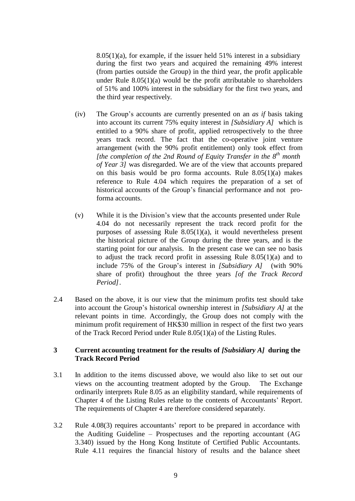$8.05(1)(a)$ , for example, if the issuer held 51% interest in a subsidiary during the first two years and acquired the remaining 49% interest (from parties outside the Group) in the third year, the profit applicable under Rule  $8.05(1)(a)$  would be the profit attributable to shareholders of 51% and 100% interest in the subsidiary for the first two years, and the third year respectively.

- (iv) The Group's accounts are currently presented on an *as if* basis taking into account its current 75% equity interest in *[Subsidiary A]* which is entitled to a 90% share of profit, applied retrospectively to the three years track record. The fact that the co-operative joint venture arrangement (with the 90% profit entitlement) only took effect from *[the completion of the 2nd Round of Equity Transfer in the 8 th month of Year 3]* was disregarded. We are of the view that accounts prepared on this basis would be pro forma accounts. Rule 8.05(1)(a) makes reference to Rule 4.04 which requires the preparation of a set of historical accounts of the Group's financial performance and not proforma accounts.
- (v) While it is the Division's view that the accounts presented under Rule 4.04 do not necessarily represent the track record profit for the purposes of assessing Rule 8.05(1)(a), it would nevertheless present the historical picture of the Group during the three years, and is the starting point for our analysis. In the present case we can see no basis to adjust the track record profit in assessing Rule 8.05(1)(a) and to include 75% of the Group's interest in *[Subsidiary A]* (with 90% share of profit) throughout the three years *[of the Track Record Period]*.
- 2.4 Based on the above, it is our view that the minimum profits test should take into account the Group's historical ownership interest in *[Subsidiary A]* at the relevant points in time. Accordingly, the Group does not comply with the minimum profit requirement of HK\$30 million in respect of the first two years of the Track Record Period under Rule 8.05(1)(a) of the Listing Rules.

## **3 Current accounting treatment for the results of** *[Subsidiary A]* **during the Track Record Period**

- 3.1 In addition to the items discussed above, we would also like to set out our views on the accounting treatment adopted by the Group. The Exchange ordinarily interprets Rule 8.05 as an eligibility standard, while requirements of Chapter 4 of the Listing Rules relate to the contents of Accountants' Report. The requirements of Chapter 4 are therefore considered separately.
- 3.2 Rule 4.08(3) requires accountants' report to be prepared in accordance with the Auditing Guideline – Prospectuses and the reporting accountant (AG 3.340) issued by the Hong Kong Institute of Certified Public Accountants. Rule 4.11 requires the financial history of results and the balance sheet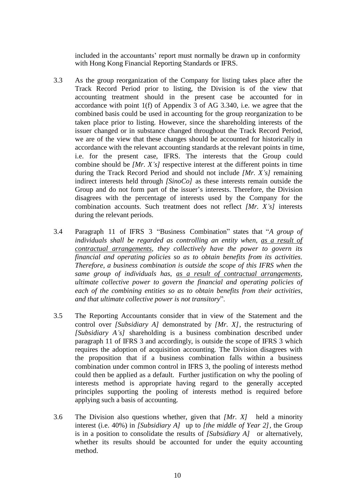included in the accountants' report must normally be drawn up in conformity with Hong Kong Financial Reporting Standards or IFRS.

- 3.3 As the group reorganization of the Company for listing takes place after the Track Record Period prior to listing, the Division is of the view that accounting treatment should in the present case be accounted for in accordance with point  $1(f)$  of Appendix 3 of AG 3.340, i.e. we agree that the combined basis could be used in accounting for the group reorganization to be taken place prior to listing. However, since the shareholding interests of the issuer changed or in substance changed throughout the Track Record Period, we are of the view that these changes should be accounted for historically in accordance with the relevant accounting standards at the relevant points in time, i.e. for the present case, IFRS. The interests that the Group could combine should be *[Mr. X's]* respective interest at the different points in time during the Track Record Period and should not include *[Mr. X's]* remaining indirect interests held through *[SinoCo]* as these interests remain outside the Group and do not form part of the issuer's interests. Therefore, the Division disagrees with the percentage of interests used by the Company for the combination accounts. Such treatment does not reflect *[Mr. X's]* interests during the relevant periods.
- 3.4 Paragraph 11 of IFRS 3 "Business Combination" states that "*A group of individuals shall be regarded as controlling an entity when, as a result of contractual arrangements, they collectively have the power to govern its financial and operating policies so as to obtain benefits from its activities. Therefore, a business combination is outside the scope of this IFRS when the same group of individuals has, as a result of contractual arrangements, ultimate collective power to govern the financial and operating policies of each of the combining entities so as to obtain benefits from their activities, and that ultimate collective power is not transitory*".
- 3.5 The Reporting Accountants consider that in view of the Statement and the control over *[Subsidiary A]* demonstrated by *[Mr. X]*, the restructuring of *[Subsidiary A's]* shareholding is a business combination described under paragraph 11 of IFRS 3 and accordingly, is outside the scope of IFRS 3 which requires the adoption of acquisition accounting. The Division disagrees with the proposition that if a business combination falls within a business combination under common control in IFRS 3, the pooling of interests method could then be applied as a default. Further justification on why the pooling of interests method is appropriate having regard to the generally accepted principles supporting the pooling of interests method is required before applying such a basis of accounting.
- 3.6 The Division also questions whether, given that *[Mr. X]* held a minority interest (i.e. 40%) in *[Subsidiary A]* up to *[the middle of Year 2]*, the Group is in a position to consolidate the results of *[Subsidiary A]* or alternatively, whether its results should be accounted for under the equity accounting method.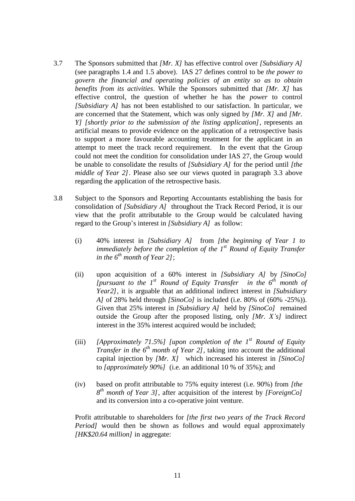- 3.7 The Sponsors submitted that *[Mr. X]* has effective control over *[Subsidiary A]*  (see paragraphs 1.4 and 1.5 above). IAS 27 defines control to be *the power to govern the financial and operating policies of an entity so as to obtain benefits from its activities*. While the Sponsors submitted that *[Mr. X]* has effective control, the question of whether he has the *power* to control *[Subsidiary A]* has not been established to our satisfaction. In particular, we are concerned that the Statement, which was only signed by *[Mr. X]* and *[Mr. Y] [shortly prior to the submission of the listing application]*, represents an artificial means to provide evidence on the application of a retrospective basis to support a more favourable accounting treatment for the applicant in an attempt to meet the track record requirement. In the event that the Group could not meet the condition for consolidation under IAS 27, the Group would be unable to consolidate the results of *[Subsidiary A]* for the period until *[the middle of Year 2]*. Please also see our views quoted in paragraph 3.3 above regarding the application of the retrospective basis.
- 3.8 Subject to the Sponsors and Reporting Accountants establishing the basis for consolidation of *[Subsidiary A]* throughout the Track Record Period, it is our view that the profit attributable to the Group would be calculated having regard to the Group's interest in *[Subsidiary A]* as follow:
	- (i) 40% interest in *[Subsidiary A]* from *[the beginning of Year 1 to immediately before the completion of the 1 st Round of Equity Transfer in the 6 th month of Year 2]*;
	- (ii) upon acquisition of a 60% interest in *[Subsidiary A]* by *[SinoCo] [pursuant to the 1 st Round of Equity Transfer in the 6 th month of Year2]*, it is arguable that an additional indirect interest in *[Subsidiary A]* of 28% held through *[SinoCo]* is included (i.e. 80% of (60% -25%)). Given that 25% interest in *[Subsidiary A]* held by *[SinoCo]* remained outside the Group after the proposed listing, only *[Mr. X's]* indirect interest in the 35% interest acquired would be included;
	- (iii) *[Approximately 71.5%] [upon completion of the 1 st Round of Equity Transfer in the*  $6<sup>th</sup>$  *month of Year* 2*]*, taking into account the additional capital injection by *[Mr. X]* which increased his interest in *[SinoCo]*  to *[approximately 90%]* (i.e. an additional 10 % of 35%); and
	- (iv) based on profit attributable to 75% equity interest (i.e. 90%) from *[the 8 th month of Year 3]*, after acquisition of the interest by *[ForeignCo]* and its conversion into a co-operative joint venture.

Profit attributable to shareholders for *[the first two years of the Track Record Period]* would then be shown as follows and would equal approximately *[HK\$20.64 million]* in aggregate: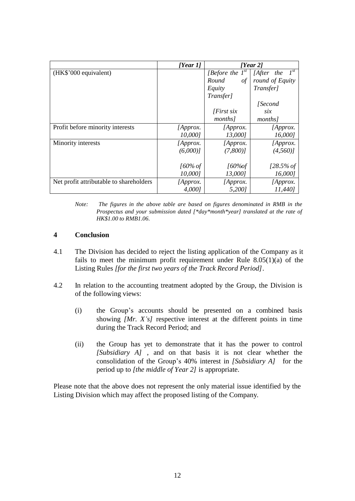|                                         | [Year 1]   | [Year 2]             |                        |
|-----------------------------------------|------------|----------------------|------------------------|
| (HK\$'000 equivalent)                   |            | [Before the $I^{st}$ | $I^{st}$<br>[After the |
|                                         |            | Round<br>$\int$      | round of Equity        |
|                                         |            | Equity               | Transfer]              |
|                                         |            | Transfer]            |                        |
|                                         |            |                      | <i>Second</i>          |
|                                         |            | $First$ six          | six                    |
|                                         |            | months]              | months]                |
| Profit before minority interests        | [Approx.   | [Approx.]            | [Approx.]              |
|                                         | 10,0001    | 13,000]              | 16,0001                |
| Minority interests                      | [Approx.   | [Approx.             | [Approx.               |
|                                         | (6,000)    | (7,800)              | (4,560)                |
|                                         |            |                      |                        |
|                                         | $160\%$ of | $160\%$ of           | $128.5\%$ of           |
|                                         | 10,0001    | 13,000]              | 16,0001                |
| Net profit attributable to shareholders | [Approx.   | [Approx.             | [Approx.               |
|                                         | 4,0001     | 5,2001               | 11,440]                |

*Note: The figures in the above table are based on figures denominated in RMB in the Prospectus and your submission dated [\*day\*month\*year] translated at the rate of HK\$1.00 to RMB1.06.*

## **4 Conclusion**

- 4.1 The Division has decided to reject the listing application of the Company as it fails to meet the minimum profit requirement under Rule  $8.05(1)(a)$  of the Listing Rules *[for the first two years of the Track Record Period].*
- 4.2 In relation to the accounting treatment adopted by the Group, the Division is of the following views:
	- (i) the Group's accounts should be presented on a combined basis showing *[Mr. X's]* respective interest at the different points in time during the Track Record Period; and
	- (ii) the Group has yet to demonstrate that it has the power to control *[Subsidiary A]* , and on that basis it is not clear whether the consolidation of the Group's 40% interest in *[Subsidiary A]* for the period up to *[the middle of Year 2]* is appropriate.

Please note that the above does not represent the only material issue identified by the Listing Division which may affect the proposed listing of the Company.